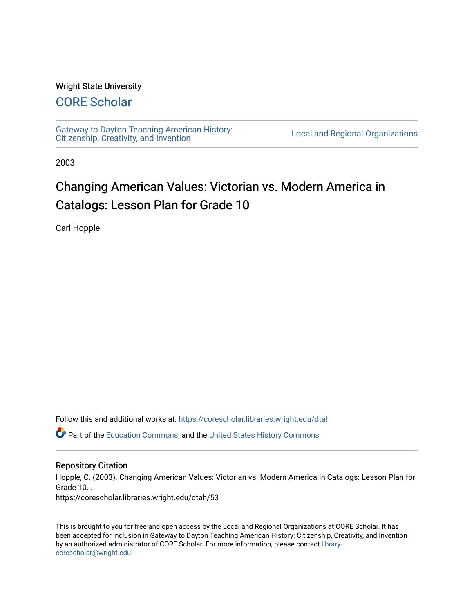#### Wright State University

## [CORE Scholar](https://corescholar.libraries.wright.edu/)

[Gateway to Dayton Teaching American History:](https://corescholar.libraries.wright.edu/dtah)  Gateway to Dayton Teaching American History.<br>[Citizenship, Creativity, and Invention](https://corescholar.libraries.wright.edu/dtah) Local and Regional Organizations

2003

# Changing American Values: Victorian vs. Modern America in Catalogs: Lesson Plan for Grade 10

Carl Hopple

Follow this and additional works at: [https://corescholar.libraries.wright.edu/dtah](https://corescholar.libraries.wright.edu/dtah?utm_source=corescholar.libraries.wright.edu%2Fdtah%2F53&utm_medium=PDF&utm_campaign=PDFCoverPages)

Part of the [Education Commons](http://network.bepress.com/hgg/discipline/784?utm_source=corescholar.libraries.wright.edu%2Fdtah%2F53&utm_medium=PDF&utm_campaign=PDFCoverPages), and the [United States History Commons](http://network.bepress.com/hgg/discipline/495?utm_source=corescholar.libraries.wright.edu%2Fdtah%2F53&utm_medium=PDF&utm_campaign=PDFCoverPages) 

#### Repository Citation

Hopple, C. (2003). Changing American Values: Victorian vs. Modern America in Catalogs: Lesson Plan for Grade 10. . https://corescholar.libraries.wright.edu/dtah/53

This is brought to you for free and open access by the Local and Regional Organizations at CORE Scholar. It has been accepted for inclusion in Gateway to Dayton Teaching American History: Citizenship, Creativity, and Invention by an authorized administrator of CORE Scholar. For more information, please contact [library](mailto:library-corescholar@wright.edu)[corescholar@wright.edu](mailto:library-corescholar@wright.edu).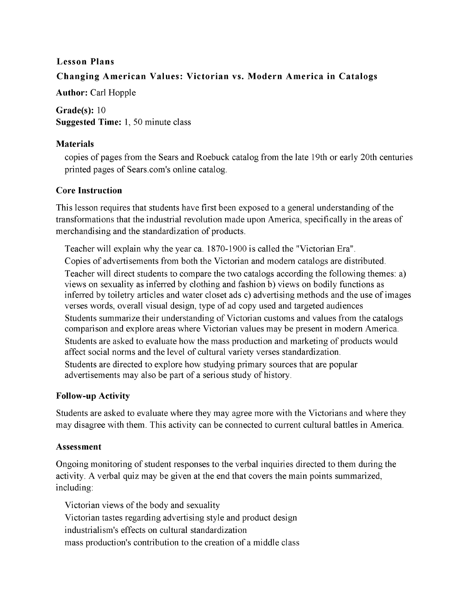## **Lesson Plans Changing American Values: Victorian** vs. **Modern America in Catalogs**

**Author:** Carl Hopple

**Grade(s):** 10 **Suggested Time:** 1, 50 minute class

#### **Materials**

copies of pages from the Sears and Roebuck catalog from the late 19th or early 20th centuries printed pages of Sears.com's online catalog.

## **Core Instruction**

This lesson requires that students have first been exposed to a general understanding of the transformations that the industrial revolution made upon America, specifically in the areas of merchandising and the standardization of products.

Teacher will explain why the year ca. 1870-1900 is called the "Victorian Era". Copies of advertisements from both the Victorian and modem catalogs are distributed. Teacher will direct students to compare the two catalogs according the following themes: a) views on sexuality as inferred by clothing and fashion b) views on bodily functions as inferred by toiletry articles and water closet ads c) advertising methods and the use of images verses words, overall visual design, type of ad copy used and targeted audiences Students summarize their understanding of Victorian customs and values from the catalogs comparison and explore areas where Victorian values may be present in modem America. Students are asked to evaluate how the mass production and marketing of products would affect social norms and the level of cultural variety verses standardization. Students are directed to explore how studying primary sources that are popular advertisements may also be part of a serious study of history.

## **Follow-up Activity**

Students are asked to evaluate where they may agree more with the Victorians and where they may disagree with them. This activity can be connected to current cultural battles in America.

## **Assessment**

Ongoing monitoring of student responses to the verbal inquiries directed to them during the activity. A verbal quiz may be given at the end that covers the main points summarized, including:

Victorian views of the body and sexuality Victorian tastes regarding advertising style and product design industrialism's effects on cultural standardization mass production's contribution to the creation of a middle class